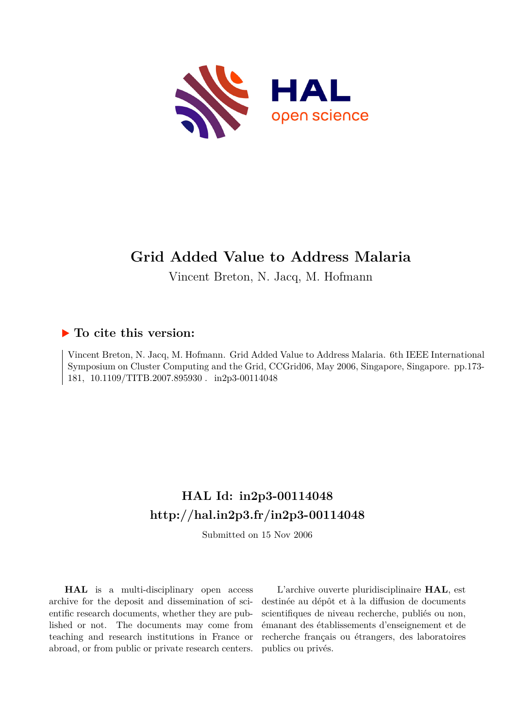

# **Grid Added Value to Address Malaria**

Vincent Breton, N. Jacq, M. Hofmann

## **To cite this version:**

Vincent Breton, N. Jacq, M. Hofmann. Grid Added Value to Address Malaria. 6th IEEE International Symposium on Cluster Computing and the Grid, CCGrid06, May 2006, Singapore, Singapore. pp.173- 181, 10.1109/TITB.2007.895930. in2p3-00114048

## **HAL Id: in2p3-00114048 <http://hal.in2p3.fr/in2p3-00114048>**

Submitted on 15 Nov 2006

**HAL** is a multi-disciplinary open access archive for the deposit and dissemination of scientific research documents, whether they are published or not. The documents may come from teaching and research institutions in France or abroad, or from public or private research centers.

L'archive ouverte pluridisciplinaire **HAL**, est destinée au dépôt et à la diffusion de documents scientifiques de niveau recherche, publiés ou non, émanant des établissements d'enseignement et de recherche français ou étrangers, des laboratoires publics ou privés.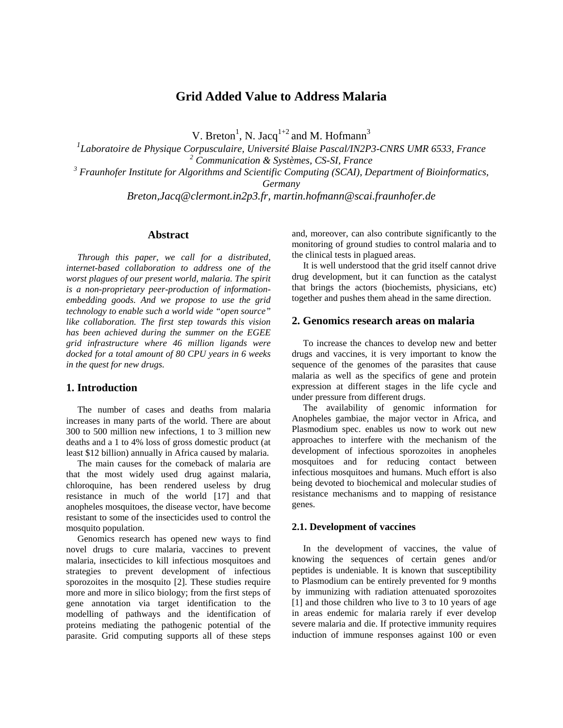## **Grid Added Value to Address Malaria**

V. Breton<sup>1</sup>, N. Jacq<sup>1+2</sup> and M. Hofmann<sup>3</sup>

 *Laboratoire de Physique Corpusculaire, Université Blaise Pascal/IN2P3-CNRS UMR 6533, France Communication & Systèmes, CS-SI, France Fraunhofer Institute for Algorithms and Scientific Computing (SCAI), Department of Bioinformatics, Germany* 

*Breton,Jacq@clermont.in2p3.fr, martin.hofmann@scai.fraunhofer.de* 

## **Abstract**

*Through this paper, we call for a distributed, internet-based collaboration to address one of the worst plagues of our present world, malaria. The spirit is a non-proprietary peer-production of informationembedding goods. And we propose to use the grid technology to enable such a world wide "open source" like collaboration. The first step towards this vision has been achieved during the summer on the EGEE grid infrastructure where 46 million ligands were docked for a total amount of 80 CPU years in 6 weeks in the quest for new drugs.* 

## **1. Introduction**

The number of cases and deaths from malaria increases in many parts of the world. There are about 300 to 500 million new infections, 1 to 3 million new deaths and a 1 to 4% loss of gross domestic product (at least \$12 billion) annually in Africa caused by malaria.

The main causes for the comeback of malaria are that the most widely used drug against malaria, chloroquine, has been rendered useless by drug resistance in much of the world [17] and that anopheles mosquitoes, the disease vector, have become resistant to some of the insecticides used to control the mosquito population.

Genomics research has opened new ways to find novel drugs to cure malaria, vaccines to prevent malaria, insecticides to kill infectious mosquitoes and strategies to prevent development of infectious sporozoites in the mosquito [2]. These studies require more and more in silico biology; from the first steps of gene annotation via target identification to the modelling of pathways and the identification of proteins mediating the pathogenic potential of the parasite. Grid computing supports all of these steps and, moreover, can also contribute significantly to the monitoring of ground studies to control malaria and to the clinical tests in plagued areas.

It is well understood that the grid itself cannot drive drug development, but it can function as the catalyst that brings the actors (biochemists, physicians, etc) together and pushes them ahead in the same direction.

## **2. Genomics research areas on malaria**

To increase the chances to develop new and better drugs and vaccines, it is very important to know the sequence of the genomes of the parasites that cause malaria as well as the specifics of gene and protein expression at different stages in the life cycle and under pressure from different drugs.

The availability of genomic information for Anopheles gambiae, the major vector in Africa, and Plasmodium spec. enables us now to work out new approaches to interfere with the mechanism of the development of infectious sporozoites in anopheles mosquitoes and for reducing contact between infectious mosquitoes and humans. Much effort is also being devoted to biochemical and molecular studies of resistance mechanisms and to mapping of resistance genes.

#### **2.1. Development of vaccines**

In the development of vaccines, the value of knowing the sequences of certain genes and/or peptides is undeniable. It is known that susceptibility to Plasmodium can be entirely prevented for 9 months by immunizing with radiation attenuated sporozoites [1] and those children who live to 3 to 10 years of age in areas endemic for malaria rarely if ever develop severe malaria and die. If protective immunity requires induction of immune responses against 100 or even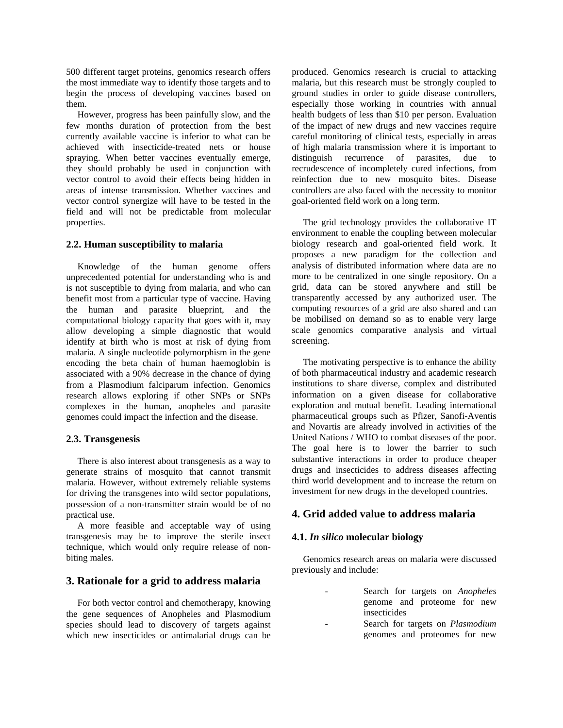500 different target proteins, genomics research offers the most immediate way to identify those targets and to begin the process of developing vaccines based on them.

However, progress has been painfully slow, and the few months duration of protection from the best currently available vaccine is inferior to what can be achieved with insecticide-treated nets or house spraying. When better vaccines eventually emerge, they should probably be used in conjunction with vector control to avoid their effects being hidden in areas of intense transmission. Whether vaccines and vector control synergize will have to be tested in the field and will not be predictable from molecular properties.

#### **2.2. Human susceptibility to malaria**

Knowledge of the human genome offers unprecedented potential for understanding who is and is not susceptible to dying from malaria, and who can benefit most from a particular type of vaccine. Having the human and parasite blueprint, and the computational biology capacity that goes with it, may allow developing a simple diagnostic that would identify at birth who is most at risk of dying from malaria. A single nucleotide polymorphism in the gene encoding the beta chain of human haemoglobin is associated with a 90% decrease in the chance of dying from a Plasmodium falciparum infection. Genomics research allows exploring if other SNPs or SNPs complexes in the human, anopheles and parasite genomes could impact the infection and the disease.

## **2.3. Transgenesis**

There is also interest about transgenesis as a way to generate strains of mosquito that cannot transmit malaria. However, without extremely reliable systems for driving the transgenes into wild sector populations, possession of a non-transmitter strain would be of no practical use.

A more feasible and acceptable way of using transgenesis may be to improve the sterile insect technique, which would only require release of nonbiting males.

## **3. Rationale for a grid to address malaria**

For both vector control and chemotherapy, knowing the gene sequences of Anopheles and Plasmodium species should lead to discovery of targets against which new insecticides or antimalarial drugs can be

produced. Genomics research is crucial to attacking malaria, but this research must be strongly coupled to ground studies in order to guide disease controllers, especially those working in countries with annual health budgets of less than \$10 per person. Evaluation of the impact of new drugs and new vaccines require careful monitoring of clinical tests, especially in areas of high malaria transmission where it is important to distinguish recurrence of parasites, due to recrudescence of incompletely cured infections, from reinfection due to new mosquito bites. Disease controllers are also faced with the necessity to monitor goal-oriented field work on a long term.

The grid technology provides the collaborative IT environment to enable the coupling between molecular biology research and goal-oriented field work. It proposes a new paradigm for the collection and analysis of distributed information where data are no more to be centralized in one single repository. On a grid, data can be stored anywhere and still be transparently accessed by any authorized user. The computing resources of a grid are also shared and can be mobilised on demand so as to enable very large scale genomics comparative analysis and virtual screening.

The motivating perspective is to enhance the ability of both pharmaceutical industry and academic research institutions to share diverse, complex and distributed information on a given disease for collaborative exploration and mutual benefit. Leading international pharmaceutical groups such as Pfizer, Sanofi-Aventis and Novartis are already involved in activities of the United Nations / WHO to combat diseases of the poor. The goal here is to lower the barrier to such substantive interactions in order to produce cheaper drugs and insecticides to address diseases affecting third world development and to increase the return on investment for new drugs in the developed countries.

## **4. Grid added value to address malaria**

## **4.1.** *In silico* **molecular biology**

Genomics research areas on malaria were discussed previously and include:

- Search for targets on *Anopheles* genome and proteome for new insecticides
- Search for targets on *Plasmodium*  genomes and proteomes for new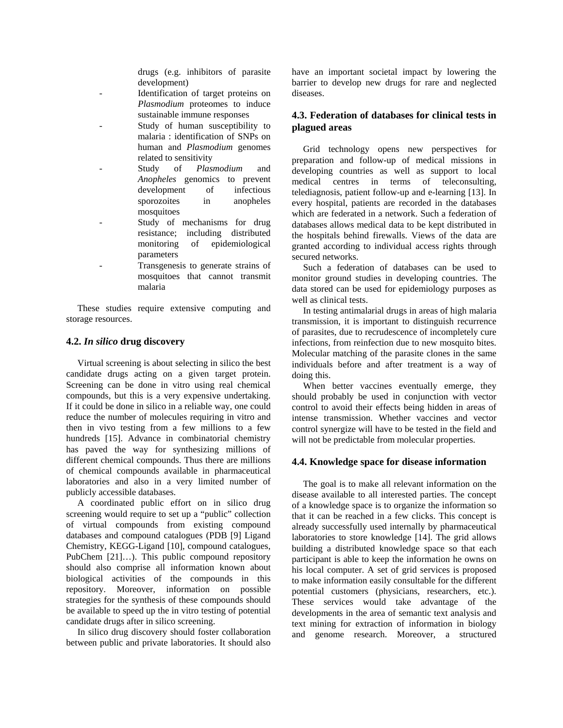drugs (e.g. inhibitors of parasite development)

- Identification of target proteins on *Plasmodium* proteomes to induce sustainable immune responses
- Study of human susceptibility to malaria : identification of SNPs on human and *Plasmodium* genomes related to sensitivity
- Study of *Plasmodium* and *Anopheles* genomics to prevent development of infectious sporozoites in anopheles mosquitoes
- Study of mechanisms for drug resistance; including distributed monitoring of epidemiological parameters
- Transgenesis to generate strains of mosquitoes that cannot transmit malaria

These studies require extensive computing and storage resources.

## **4.2.** *In silico* **drug discovery**

Virtual screening is about selecting in silico the best candidate drugs acting on a given target protein. Screening can be done in vitro using real chemical compounds, but this is a very expensive undertaking. If it could be done in silico in a reliable way, one could reduce the number of molecules requiring in vitro and then in vivo testing from a few millions to a few hundreds [15]. Advance in combinatorial chemistry has paved the way for synthesizing millions of different chemical compounds. Thus there are millions of chemical compounds available in pharmaceutical laboratories and also in a very limited number of publicly accessible databases.

A coordinated public effort on in silico drug screening would require to set up a "public" collection of virtual compounds from existing compound databases and compound catalogues (PDB [9] Ligand Chemistry, KEGG-Ligand [10], compound catalogues, PubChem [21]…). This public compound repository should also comprise all information known about biological activities of the compounds in this repository. Moreover, information on possible strategies for the synthesis of these compounds should be available to speed up the in vitro testing of potential candidate drugs after in silico screening.

In silico drug discovery should foster collaboration between public and private laboratories. It should also have an important societal impact by lowering the barrier to develop new drugs for rare and neglected diseases.

## **4.3. Federation of databases for clinical tests in plagued areas**

Grid technology opens new perspectives for preparation and follow-up of medical missions in developing countries as well as support to local medical centres in terms of teleconsulting, telediagnosis, patient follow-up and e-learning [13]. In every hospital, patients are recorded in the databases which are federated in a network. Such a federation of databases allows medical data to be kept distributed in the hospitals behind firewalls. Views of the data are granted according to individual access rights through secured networks.

Such a federation of databases can be used to monitor ground studies in developing countries. The data stored can be used for epidemiology purposes as well as clinical tests.

In testing antimalarial drugs in areas of high malaria transmission, it is important to distinguish recurrence of parasites, due to recrudescence of incompletely cure infections, from reinfection due to new mosquito bites. Molecular matching of the parasite clones in the same individuals before and after treatment is a way of doing this.

When better vaccines eventually emerge, they should probably be used in conjunction with vector control to avoid their effects being hidden in areas of intense transmission. Whether vaccines and vector control synergize will have to be tested in the field and will not be predictable from molecular properties.

## **4.4. Knowledge space for disease information**

The goal is to make all relevant information on the disease available to all interested parties. The concept of a knowledge space is to organize the information so that it can be reached in a few clicks. This concept is already successfully used internally by pharmaceutical laboratories to store knowledge [14]. The grid allows building a distributed knowledge space so that each participant is able to keep the information he owns on his local computer. A set of grid services is proposed to make information easily consultable for the different potential customers (physicians, researchers, etc.). These services would take advantage of the developments in the area of semantic text analysis and text mining for extraction of information in biology and genome research. Moreover, a structured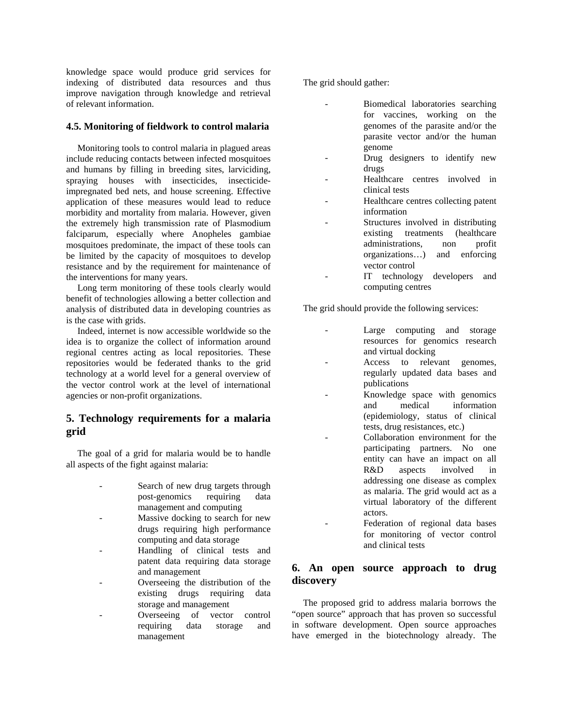knowledge space would produce grid services for indexing of distributed data resources and thus improve navigation through knowledge and retrieval of relevant information.

## **4.5. Monitoring of fieldwork to control malaria**

Monitoring tools to control malaria in plagued areas include reducing contacts between infected mosquitoes and humans by filling in breeding sites, larviciding, spraying houses with insecticides, insecticideimpregnated bed nets, and house screening. Effective application of these measures would lead to reduce morbidity and mortality from malaria. However, given the extremely high transmission rate of Plasmodium falciparum, especially where Anopheles gambiae mosquitoes predominate, the impact of these tools can be limited by the capacity of mosquitoes to develop resistance and by the requirement for maintenance of the interventions for many years.

Long term monitoring of these tools clearly would benefit of technologies allowing a better collection and analysis of distributed data in developing countries as is the case with grids.

Indeed, internet is now accessible worldwide so the idea is to organize the collect of information around regional centres acting as local repositories. These repositories would be federated thanks to the grid technology at a world level for a general overview of the vector control work at the level of international agencies or non-profit organizations.

## **5. Technology requirements for a malaria grid**

The goal of a grid for malaria would be to handle all aspects of the fight against malaria:

- Search of new drug targets through post-genomics requiring data management and computing
- Massive docking to search for new drugs requiring high performance computing and data storage
- Handling of clinical tests and patent data requiring data storage and management
- Overseeing the distribution of the existing drugs requiring data storage and management
- Overseeing of vector control requiring data storage and management

The grid should gather:

- Biomedical laboratories searching for vaccines, working on the genomes of the parasite and/or the parasite vector and/or the human genome
- Drug designers to identify new drugs
- Healthcare centres involved in clinical tests
- Healthcare centres collecting patent information
- Structures involved in distributing existing treatments (healthcare administrations, non profit organizations…) and enforcing vector control
- IT technology developers and computing centres

The grid should provide the following services:

- Large computing and storage resources for genomics research and virtual docking
- Access to relevant genomes, regularly updated data bases and publications
- Knowledge space with genomics and medical information (epidemiology, status of clinical tests, drug resistances, etc.)
- Collaboration environment for the participating partners. No one entity can have an impact on all R&D aspects involved in addressing one disease as complex as malaria. The grid would act as a virtual laboratory of the different actors.
- Federation of regional data bases for monitoring of vector control and clinical tests

## **6. An open source approach to drug discovery**

The proposed grid to address malaria borrows the "open source" approach that has proven so successful in software development. Open source approaches have emerged in the biotechnology already. The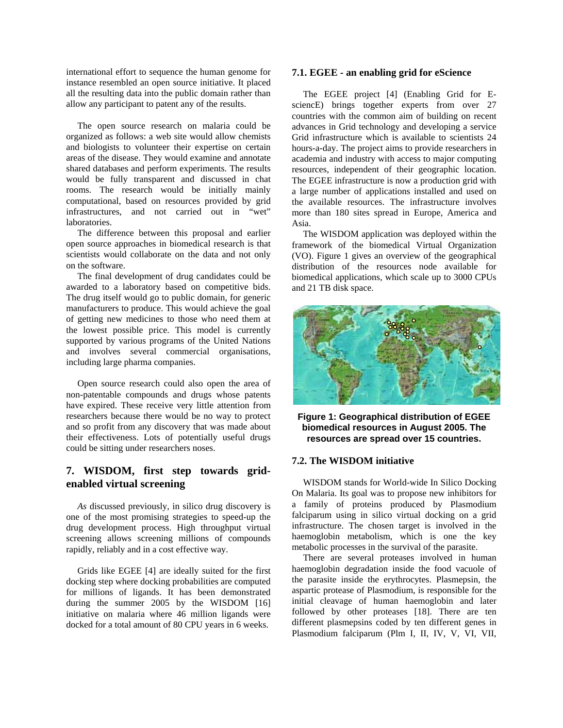international effort to sequence the human genome for instance resembled an open source initiative. It placed all the resulting data into the public domain rather than allow any participant to patent any of the results.

The open source research on malaria could be organized as follows: a web site would allow chemists and biologists to volunteer their expertise on certain areas of the disease. They would examine and annotate shared databases and perform experiments. The results would be fully transparent and discussed in chat rooms. The research would be initially mainly computational, based on resources provided by grid infrastructures, and not carried out in "wet" laboratories.

The difference between this proposal and earlier open source approaches in biomedical research is that scientists would collaborate on the data and not only on the software.

The final development of drug candidates could be awarded to a laboratory based on competitive bids. The drug itself would go to public domain, for generic manufacturers to produce. This would achieve the goal of getting new medicines to those who need them at the lowest possible price. This model is currently supported by various programs of the United Nations and involves several commercial organisations, including large pharma companies.

Open source research could also open the area of non-patentable compounds and drugs whose patents have expired. These receive very little attention from researchers because there would be no way to protect and so profit from any discovery that was made about their effectiveness. Lots of potentially useful drugs could be sitting under researchers noses.

## **7. WISDOM, first step towards gridenabled virtual screening**

*As* discussed previously, in silico drug discovery is one of the most promising strategies to speed-up the drug development process. High throughput virtual screening allows screening millions of compounds rapidly, reliably and in a cost effective way.

Grids like EGEE [4] are ideally suited for the first docking step where docking probabilities are computed for millions of ligands. It has been demonstrated during the summer 2005 by the WISDOM [16] initiative on malaria where 46 million ligands were docked for a total amount of 80 CPU years in 6 weeks.

#### **7.1. EGEE - an enabling grid for eScience**

The EGEE project [4] (Enabling Grid for EsciencE) brings together experts from over 27 countries with the common aim of building on recent advances in Grid technology and developing a service Grid infrastructure which is available to scientists 24 hours-a-day. The project aims to provide researchers in academia and industry with access to major computing resources, independent of their geographic location. The EGEE infrastructure is now a production grid with a large number of applications installed and used on the available resources. The infrastructure involves more than 180 sites spread in Europe, America and Asia.

The WISDOM application was deployed within the framework of the biomedical Virtual Organization (VO). Figure 1 gives an overview of the geographical distribution of the resources node available for biomedical applications, which scale up to 3000 CPUs and 21 TB disk space.



**Figure 1: Geographical distribution of EGEE biomedical resources in August 2005. The resources are spread over 15 countries.** 

#### **7.2. The WISDOM initiative**

WISDOM stands for World-wide In Silico Docking On Malaria. Its goal was to propose new inhibitors for a family of proteins produced by Plasmodium falciparum using in silico virtual docking on a grid infrastructure. The chosen target is involved in the haemoglobin metabolism, which is one the key metabolic processes in the survival of the parasite.

There are several proteases involved in human haemoglobin degradation inside the food vacuole of the parasite inside the erythrocytes. Plasmepsin, the aspartic protease of Plasmodium, is responsible for the initial cleavage of human haemoglobin and later followed by other proteases [18]. There are ten different plasmepsins coded by ten different genes in Plasmodium falciparum (Plm I, II, IV, V, VI, VII,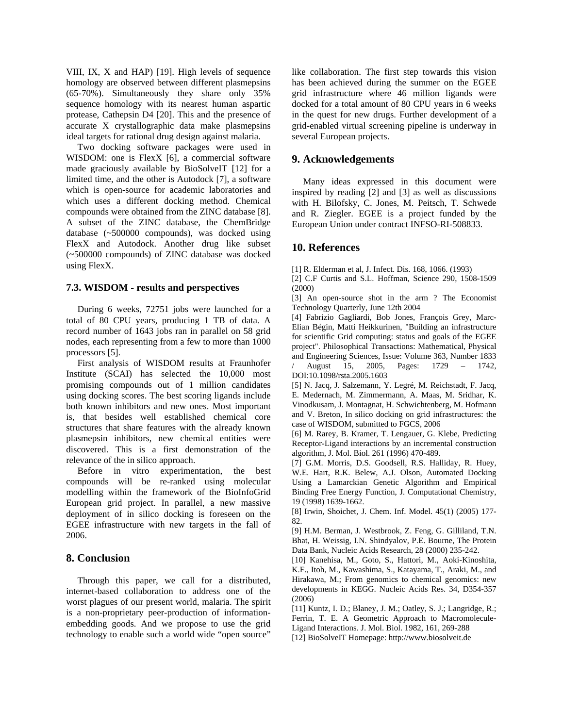VIII, IX, X and HAP) [19]. High levels of sequence homology are observed between different plasmepsins (65-70%). Simultaneously they share only 35% sequence homology with its nearest human aspartic protease, Cathepsin D4 [20]. This and the presence of accurate X crystallographic data make plasmepsins ideal targets for rational drug design against malaria.

Two docking software packages were used in WISDOM: one is FlexX [6], a commercial software made graciously available by BioSolveIT [12] for a limited time, and the other is Autodock [7], a software which is open-source for academic laboratories and which uses a different docking method. Chemical compounds were obtained from the ZINC database [8]. A subset of the ZINC database, the ChemBridge database (~500000 compounds), was docked using FlexX and Autodock. Another drug like subset (~500000 compounds) of ZINC database was docked using FlexX.

## **7.3. WISDOM - results and perspectives**

During 6 weeks, 72751 jobs were launched for a total of 80 CPU years, producing 1 TB of data. A record number of 1643 jobs ran in parallel on 58 grid nodes, each representing from a few to more than 1000 processors [5].

First analysis of WISDOM results at Fraunhofer Institute (SCAI) has selected the 10,000 most promising compounds out of 1 million candidates using docking scores. The best scoring ligands include both known inhibitors and new ones. Most important is, that besides well established chemical core structures that share features with the already known plasmepsin inhibitors, new chemical entities were discovered. This is a first demonstration of the relevance of the in silico approach.

Before in vitro experimentation, the best compounds will be re-ranked using molecular modelling within the framework of the BioInfoGrid European grid project. In parallel, a new massive deployment of in silico docking is foreseen on the EGEE infrastructure with new targets in the fall of 2006.

## **8. Conclusion**

Through this paper, we call for a distributed, internet-based collaboration to address one of the worst plagues of our present world, malaria. The spirit is a non-proprietary peer-production of informationembedding goods. And we propose to use the grid technology to enable such a world wide "open source"

like collaboration. The first step towards this vision has been achieved during the summer on the EGEE grid infrastructure where 46 million ligands were docked for a total amount of 80 CPU years in 6 weeks in the quest for new drugs. Further development of a grid-enabled virtual screening pipeline is underway in several European projects.

## **9. Acknowledgements**

Many ideas expressed in this document were inspired by reading [2] and [3] as well as discussions with H. Bilofsky, C. Jones, M. Peitsch, T. Schwede and R. Ziegler. EGEE is a project funded by the European Union under contract INFSO-RI-508833.

## **10. References**

[1] R. Elderman et al, J. Infect. Dis. 168, 1066. (1993)

[2] C.F Curtis and S.L. Hoffman, Science 290, 1508-1509 (2000)

[3] An open-source shot in the arm ? The Economist Technology Quarterly, June 12th 2004

[4] Fabrizio Gagliardi, Bob Jones, François Grey, Marc-Elian Bégin, Matti Heikkurinen, "Building an infrastructure for scientific Grid computing: status and goals of the EGEE project". Philosophical Transactions: Mathematical, Physical and Engineering Sciences, Issue: Volume 363, Number 1833 / August 15, 2005, Pages: 1729 – 1742,

DOI:10.1098/rsta.2005.1603 [5] N. Jacq, J. Salzemann, Y. Legré, M. Reichstadt, F. Jacq,

E. Medernach, M. Zimmermann, A. Maas, M. Sridhar, K. Vinodkusam, J. Montagnat, H. Schwichtenberg, M. Hofmann and V. Breton, In silico docking on grid infrastructures: the case of WISDOM, submitted to FGCS, 2006

[6] M. Rarey, B. Kramer, T. Lengauer, G. Klebe, Predicting Receptor-Ligand interactions by an incremental construction algorithm, J. Mol. Biol. 261 (1996) 470-489.

[7] G.M. Morris, D.S. Goodsell, R.S. Halliday, R. Huey, W.E. Hart, R.K. Belew, A.J. Olson, Automated Docking Using a Lamarckian Genetic Algorithm and Empirical Binding Free Energy Function, J. Computational Chemistry, 19 (1998) 1639-1662.

[8] Irwin, Shoichet, J. Chem. Inf. Model. 45(1) (2005) 177- 82.

[9] H.M. Berman, J. Westbrook, Z. Feng, G. Gilliland, T.N. Bhat, H. Weissig, I.N. Shindyalov, P.E. Bourne, The Protein Data Bank, Nucleic Acids Research, 28 (2000) 235-242.

[10] Kanehisa, M., Goto, S., Hattori, M., Aoki-Kinoshita, K.F., Itoh, M., Kawashima, S., Katayama, T., Araki, M., and Hirakawa, M.; From genomics to chemical genomics: new developments in KEGG. Nucleic Acids Res. 34, D354-357 (2006)

[11] Kuntz, I. D.; Blaney, J. M.; Oatley, S. J.; Langridge, R.; Ferrin, T. E. A Geometric Approach to Macromolecule-Ligand Interactions. J. Mol. Biol. 1982, 161, 269-288

[12] BioSolveIT Homepage: http://www.biosolveit.de